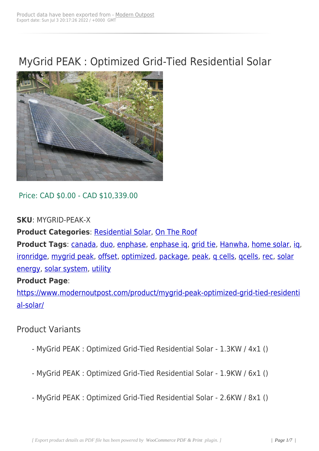# MyGrid PEAK : Optimized Grid-Tied Residential Solar



Price: CAD \$0.00 - CAD \$10,339.00

#### **SKU**: MYGRID-PEAK-X

**Product Categories: Residential Solar, On The Roof** 

**Product Tags**: canada, duo, enphase, enphase ig, grid tie, Hanwha, home solar, ig, ironridge, mygrid peak[, offset, optimized](https://www.modernoutpost.com/product-category/on-the-roof/home-cottage-solar-power-canada/)[, package, pe](https://www.modernoutpost.com/product-category/on-the-roof/)ak, q cells, qcells, rec, solar energy, solar sy[stem, u](https://www.modernoutpost.com/product-tag/canada/)t[ility](https://www.modernoutpost.com/product-tag/duo/)

#### **[Product](https://www.modernoutpost.com/product-tag/ironridge/) [Page](https://www.modernoutpost.com/product-tag/mygrid-peak/)**:

[https://](https://www.modernoutpost.com/product-tag/solar-energy/)[www.moderno](https://www.modernoutpost.com/product-tag/solar-system/)[utpost](https://www.modernoutpost.com/product-tag/utility/).com/product/mygrid-peak-optimized-grid-tied-residenti al-solar/

## [Product](https://www.modernoutpost.com/product/mygrid-peak-optimized-grid-tied-residential-solar/) Variants

- MyGrid PEAK : Optimized Grid-Tied Residential Solar 1.3KW / 4x1 ()
- MyGrid PEAK : Optimized Grid-Tied Residential Solar 1.9KW / 6x1 ()
- MyGrid PEAK : Optimized Grid-Tied Residential Solar 2.6KW / 8x1 ()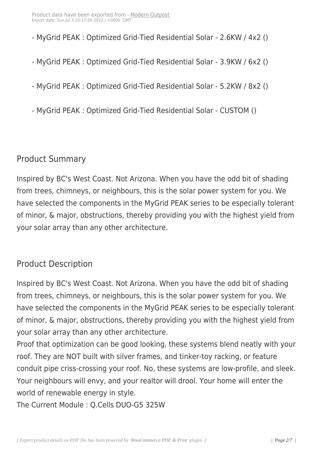- MyGrid PEAK : Optimized G[rid-Tied Resi](https://www.modernoutpost.com/?post_type=product&p=11926)dential Solar 2.6KW / 4x2 ()
- MyGrid PEAK : Optimized Grid-Tied Residential Solar 3.9KW / 6x2 ()
- MyGrid PEAK : Optimized Grid-Tied Residential Solar 5.2KW / 8x2 ()
- MyGrid PEAK : Optimized Grid-Tied Residential Solar CUSTOM ()

## Product Summary

Inspired by BC's West Coast. Not Arizona. When you have the odd bit of shading from trees, chimneys, or neighbours, this is the solar power system for you. We have selected the components in the MyGrid PEAK series to be especially tolerant of minor, & major, obstructions, thereby providing you with the highest yield from your solar array than any other architecture.

## Product Description

Inspired by BC's West Coast. Not Arizona. When you have the odd bit of shading from trees, chimneys, or neighbours, this is the solar power system for you. We have selected the components in the MyGrid PEAK series to be especially tolerant of minor, & major, obstructions, thereby providing you with the highest yield from your solar array than any other architecture.

Proof that optimization can be good looking, these systems blend neatly with your roof. They are NOT built with silver frames, and tinker-toy racking, or feature conduit pipe criss-crossing your roof. No, these systems are low-profile, and sleek. Your neighbours will envy, and your realtor will drool. Your home will enter the world of renewable energy in style.

The Current Module : Q.Cells DUO-G5 325W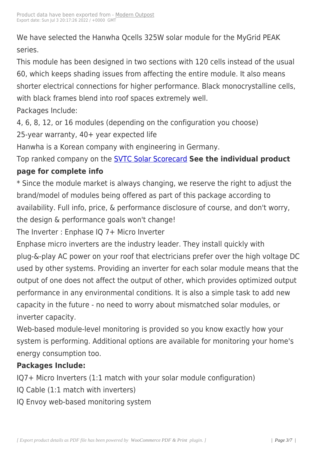We have selected the Hanw[ha Qcells 325](https://www.modernoutpost.com/?post_type=product&p=11926)W solar module for the MyGrid PEAK series.

This module has been designed in two sections with 120 cells instead of the usual 60, which keeps shading issues from affecting the entire module. It also means shorter electrical connections for higher performance. Black monocrystalline cells, with black frames blend into roof spaces extremely well. Packages Include:

4, 6, 8, 12, or 16 modules (depending on the configuration you choose) 25-year warranty, 40+ year expected life

Hanwha is a Korean company with engineering in Germany.

Top ranked company on the SVTC Solar Scorecard **See the individual product page for complete info**

\* Since the module market i[s always changing, we](https://www.modernoutpost.com/residential-solar/green-green-energy/) reserve the right to adjust the brand/model of modules being offered as part of this package according to availability. Full info, price, & performance disclosure of course, and don't worry, the design & performance goals won't change!

The Inverter : Enphase IQ 7+ Micro Inverter

Enphase micro inverters are the industry leader. They install quickly with plug-&-play AC power on your roof that electricians prefer over the high voltage DC used by other systems. Providing an inverter for each solar module means that the output of one does not affect the output of other, which provides optimized output performance in any environmental conditions. It is also a simple task to add new capacity in the future - no need to worry about mismatched solar modules, or inverter capacity.

Web-based module-level monitoring is provided so you know exactly how your system is performing. Additional options are available for monitoring your home's energy consumption too.

## **Packages Include:**

IQ7+ Micro Inverters (1:1 match with your solar module configuration)

- IQ Cable (1:1 match with inverters)
- IQ Envoy web-based monitoring system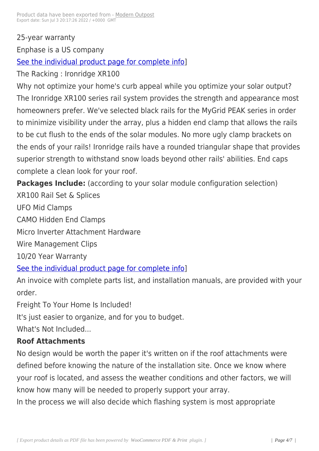25-year warranty

Enphase is a US company

See the individual product page for complete info]

The Racking : Ironridge XR100

[Why not optimize your home's curb appeal while y](https://www.modernoutpost.com/product/enphase-iq6-plus-microinverter/)ou optimize your solar output? The Ironridge XR100 series rail system provides the strength and appearance most homeowners prefer. We've selected black rails for the MyGrid PEAK series in order to minimize visibility under the array, plus a hidden end clamp that allows the rails to be cut flush to the ends of the solar modules. No more ugly clamp brackets on the ends of your rails! Ironridge rails have a rounded triangular shape that provides superior strength to withstand snow loads beyond other rails' abilities. End caps complete a clean look for your roof.

**Packages Include:** (according to your solar module configuration selection)

XR100 Rail Set & Splices

UFO Mid Clamps

CAMO Hidden End Clamps

Micro Inverter Attachment Hardware

Wire Management Clips

10/20 Year Warranty

See the individual product page for complete info]

An invoice with complete parts list, and installation manuals, are provided with your [order.](https://www.modernoutpost.com/product/ironridge-xr100-rail/)

Freight To Your Home Is Included!

It's just easier to organize, and for you to budget.

What's Not Included...

## **Roof Attachments**

No design would be worth the paper it's written on if the roof attachments were defined before knowing the nature of the installation site. Once we know where your roof is located, and assess the weather conditions and other factors, we will know how many will be needed to properly support your array.

In the process we will also decide which flashing system is most appropriate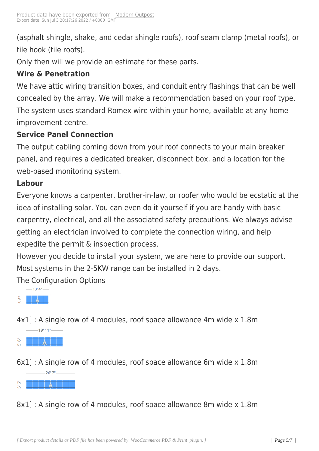(asphalt shingle, shake, and [cedar shingl](https://www.modernoutpost.com/?post_type=product&p=11926)e roofs), roof seam clamp (metal roofs), or tile hook (tile roofs).

Only then will we provide an estimate for these parts.

## **Wire & Penetration**

We have attic wiring transition boxes, and conduit entry flashings that can be well concealed by the array. We will make a recommendation based on your roof type. The system uses standard Romex wire within your home, available at any home improvement centre.

#### **Service Panel Connection**

The output cabling coming down from your roof connects to your main breaker panel, and requires a dedicated breaker, disconnect box, and a location for the web-based monitoring system.

#### **Labour**

Everyone knows a carpenter, brother-in-law, or roofer who would be ecstatic at the idea of installing solar. You can even do it yourself if you are handy with basic carpentry, electrical, and all the associated safety precautions. We always advise getting an electrician involved to complete the connection wiring, and help expedite the permit & inspection process.

However you decide to install your system, we are here to provide our support. Most systems in the 2-5KW range can be installed in 2 days.

The Configuration Options



[4x1\] : A sing](https://www.modernoutpost.com/wp-content/uploads/2018/10/array-4x1.png)le row of 4 modules, roof space allowance 4m wide x 1.8m



[6x1\] : A single ro](https://www.modernoutpost.com/wp-content/uploads/2018/10/array-6x1.png)w of 4 modules, roof space allowance 6m wide x 1.8m



[8x1\] : A single row o](https://www.modernoutpost.com/wp-content/uploads/2018/10/array-8x1.png)f 4 modules, roof space allowance 8m wide x 1.8m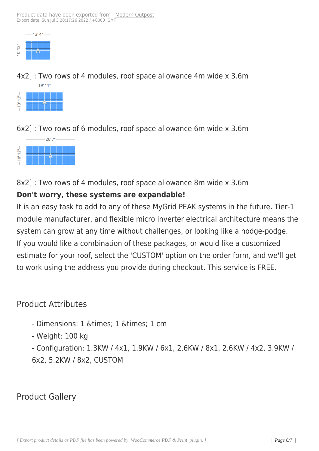

[4x2\] : Two ro](https://www.modernoutpost.com/wp-content/uploads/2018/10/array-4x2.png)ws of 4 modules, roof space allowance 4m wide x 3.6m 19' 11"-



[6x2\] : Two rows](https://www.modernoutpost.com/wp-content/uploads/2018/10/array-6x2.png) of 6 modules, roof space allowance 6m wide x 3.6m



[8x2\] : Two rows of 4](https://www.modernoutpost.com/wp-content/uploads/2018/10/array-8x2.png) modules, roof space allowance 8m wide x 3.6m

#### **Don't worry, these systems are expandable!**

It is an easy task to add to any of these MyGrid PEAK systems in the future. Tier-1 module manufacturer, and flexible micro inverter electrical architecture means the system can grow at any time without challenges, or looking like a hodge-podge. If you would like a combination of these packages, or would like a customized estimate for your roof, select the 'CUSTOM' option on the order form, and we'll get to work using the address you provide during checkout. This service is FREE.

## Product Attributes

- Dimensions: 1 & times; 1 & times; 1 cm
- Weight: 100 kg

- Configuration: 1.3KW / 4x1, 1.9KW / 6x1, 2.6KW / 8x1, 2.6KW / 4x2, 3.9KW / 6x2, 5.2KW / 8x2, CUSTOM

Product Gallery